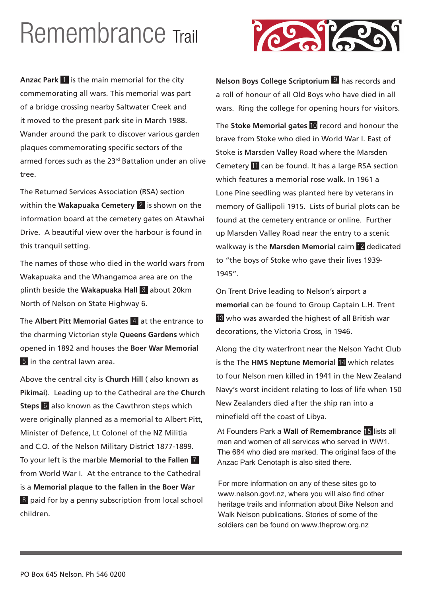## Remembrance Trail

**Anzac Park** 1 is the main memorial for the city commemorating all wars. This memorial was part of a bridge crossing nearby Saltwater Creek and it moved to the present park site in March 1988. Wander around the park to discover various garden plaques commemorating specific sectors of the armed forces such as the 23rd Battalion under an olive tree.

The Returned Services Association (RSA) section within the **Wakapuaka Cemetery** 2 is shown on the information board at the cemetery gates on Atawhai Drive. A beautiful view over the harbour is found in this tranquil setting.

The names of those who died in the world wars from Wakapuaka and the Whangamoa area are on the plinth beside the **Wakapuaka Hall** 3 about 20km North of Nelson on State Highway 6.

The **Albert Pitt Memorial Gates** 4 at the entrance to the charming Victorian style **Queens Gardens** which opened in 1892 and houses the **Boer War Memorial** 5 in the central lawn area.

Above the central city is **Church Hill** ( also known as **Pikimai**). Leading up to the Cathedral are the **Church Steps** 6 also known as the Cawthron steps which were originally planned as a memorial to Albert Pitt, Minister of Defence, Lt Colonel of the NZ Militia and C.O. of the Nelson Military District 1877-1899. To your left is the marble **Memorial to the Fallen** 7 from World War I. At the entrance to the Cathedral is a **Memorial plaque to the fallen in the Boer War** 8 paid for by a penny subscription from local school children.



**Nelson Boys College Scriptorium** 9 has records and a roll of honour of all Old Boys who have died in all wars. Ring the college for opening hours for visitors.

The **Stoke Memorial gates** 10 record and honour the brave from Stoke who died in World War I. East of Stoke is Marsden Valley Road where the Marsden Cemetery 11 can be found. It has a large RSA section which features a memorial rose walk. In 1961 a Lone Pine seedling was planted here by veterans in memory of Gallipoli 1915. Lists of burial plots can be found at the cemetery entrance or online. Further up Marsden Valley Road near the entry to a scenic walkway is the **Marsden Memorial** cairn 12 dedicated to "the boys of Stoke who gave their lives 1939- 1945".

On Trent Drive leading to Nelson's airport a **memorial** can be found to Group Captain L.H. Trent 13 who was awarded the highest of all British war decorations, the Victoria Cross, in 1946.

Along the city waterfront near the Nelson Yacht Club is the The **HMS Neptune Memorial** 14 which relates to four Nelson men killed in 1941 in the New Zealand Navy's worst incident relating to loss of life when 150 New Zealanders died after the ship ran into a minefield off the coast of Libya.

At Founders Park a **Wall of Remembrance** 15 lists all men and women of all services who served in WW1. The 684 who died are marked. The original face of the Anzac Park Cenotaph is also sited there.

For more information on any of these sites go to www.nelson.govt.nz, where you will also find other heritage trails and information about Bike Nelson and Walk Nelson publications. Stories of some of the soldiers can be found on www.theprow.org.nz